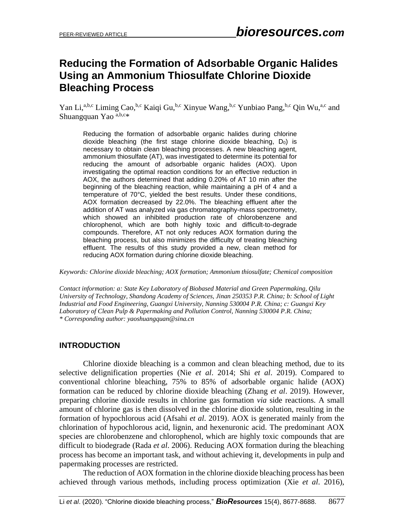# **Reducing the Formation of Adsorbable Organic Halides Using an Ammonium Thiosulfate Chlorine Dioxide Bleaching Process**

Yan Li,<sup>a,b,c</sup> Liming Cao,<sup>b,c</sup> Kaiqi Gu,<sup>b,c</sup> Xinyue Wang,<sup>b,c</sup> Yunbiao Pang,<sup>b,c</sup> Qin Wu,<sup>a,c</sup> and Shuangquan Yao  $a,b,c$ \*

Reducing the formation of adsorbable organic halides during chlorine dioxide bleaching (the first stage chlorine dioxide bleaching,  $D_0$ ) is necessary to obtain clean bleaching processes. A new bleaching agent, ammonium thiosulfate (AT), was investigated to determine its potential for reducing the amount of adsorbable organic halides (AOX). Upon investigating the optimal reaction conditions for an effective reduction in AOX, the authors determined that adding 0.20% of AT 10 min after the beginning of the bleaching reaction, while maintaining a pH of 4 and a temperature of 70°C, yielded the best results. Under these conditions, AOX formation decreased by 22.0%. The bleaching effluent after the addition of AT was analyzed *via* gas chromatography-mass spectrometry, which showed an inhibited production rate of chlorobenzene and chlorophenol, which are both highly toxic and difficult-to-degrade compounds. Therefore, AT not only reduces AOX formation during the bleaching process, but also minimizes the difficulty of treating bleaching effluent. The results of this study provided a new, clean method for reducing AOX formation during chlorine dioxide bleaching.

*Keywords: Chlorine dioxide bleaching; AOX formation; Ammonium thiosulfate; Chemical composition*

*Contact information: a: State Key Laboratory of Biobased Material and Green Papermaking, Qilu University of Technology, Shandong Academy of Sciences, Jinan 250353 P.R. China; b: School of Light Industrial and Food Engineering, Guangxi University, Nanning 530004 P.R. China; c: Guangxi Key Laboratory of Clean Pulp & Papermaking and Pollution Control, Nanning 530004 P.R. China; \* Corresponding author: yaoshuangquan@sina.cn*

## **INTRODUCTION**

Chlorine dioxide bleaching is a common and clean bleaching method, due to its selective delignification properties (Nie *et al*. 2014; Shi *et al*. 2019). Compared to conventional chlorine bleaching, 75% to 85% of adsorbable organic halide (AOX) formation can be reduced by chlorine dioxide bleaching (Zhang *et al*. 2019). However, preparing chlorine dioxide results in chlorine gas formation *via* side reactions. A small amount of chlorine gas is then dissolved in the chlorine dioxide solution, resulting in the formation of hypochlorous acid (Afsahi *et al*. 2019). AOX is generated mainly from the chlorination of hypochlorous acid, lignin, and hexenuronic acid. The predominant AOX species are chlorobenzene and chlorophenol, which are highly toxic compounds that are difficult to biodegrade (Rada *et al*. 2006). Reducing AOX formation during the bleaching process has become an important task, and without achieving it, developments in pulp and papermaking processes are restricted.

The reduction of AOX formation in the chlorine dioxide bleaching process has been achieved through various methods, including process optimization (Xie *et al*. 2016),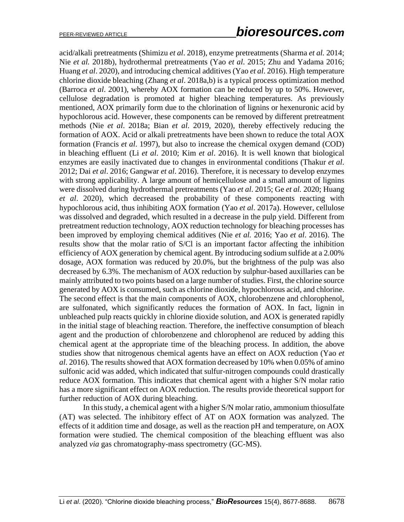acid/alkali pretreatments (Shimizu *et al*. 2018), enzyme pretreatments (Sharma *et al.* 2014; Nie *et al.* 2018b), hydrothermal pretreatments (Yao *et al*. 2015; Zhu and Yadama 2016; Huang *et al*. 2020), and introducing chemical additives (Yao *et al*. 2016). High temperature chlorine dioxide bleaching (Zhang *et al*. 2018a,b) is a typical process optimization method (Barroca *et al*. 2001), whereby AOX formation can be reduced by up to 50%. However, cellulose degradation is promoted at higher bleaching temperatures. As previously mentioned, AOX primarily form due to the chlorination of lignins or hexenuronic acid by hypochlorous acid. However, these components can be removed by different pretreatment methods (Nie *et al*. 2018a; Bian *et al*. 2019, 2020), thereby effectively reducing the formation of AOX. Acid or alkali pretreatments have been shown to reduce the total AOX formation (Francis *et al*. 1997), but also to increase the chemical oxygen demand (COD) in bleaching effluent (Li *et al*. 2010; Kim *et al*. 2016). It is well known that biological enzymes are easily inactivated due to changes in environmental conditions (Thakur *et al*. 2012; Dai *et al*. 2016; Gangwar *et al*. 2016). Therefore, it is necessary to develop enzymes with strong applicability. A large amount of hemicellulose and a small amount of lignins were dissolved during hydrothermal pretreatments (Yao *et al*. 2015; Ge *et al.* 2020; Huang *et al*. 2020), which decreased the probability of these components reacting with hypochlorous acid, thus inhibiting AOX formation (Yao *et al*. 2017a). However, cellulose was dissolved and degraded, which resulted in a decrease in the pulp yield. Different from pretreatment reduction technology, AOX reduction technology for bleaching processes has been improved by employing chemical additives (Nie *et al.* 2016; Yao *et al*. 2016). The results show that the molar ratio of S/Cl is an important factor affecting the inhibition efficiency of AOX generation by chemical agent. By introducing sodium sulfide at a 2.00% dosage, AOX formation was reduced by 20.0%, but the brightness of the pulp was also decreased by 6.3%. The mechanism of AOX reduction by sulphur-based auxillaries can be mainly attributed to two points based on a large number of studies. First, the chlorine source generated by AOX is consumed, such as chlorine dioxide, hypochlorous acid, and chlorine. The second effect is that the main components of AOX, chlorobenzene and chlorophenol, are sulfonated, which significantly reduces the formation of AOX. In fact, lignin in unbleached pulp reacts quickly in chlorine dioxide solution, and AOX is generated rapidly in the initial stage of bleaching reaction. Therefore, the ineffective consumption of bleach agent and the production of chlorobenzene and chlorophenol are reduced by adding this chemical agent at the appropriate time of the bleaching process. In addition, the above studies show that nitrogenous chemical agents have an effect on AOX reduction (Yao *et al*. 2016). The results showed that AOX formation decreased by 10% when 0.05% of amino sulfonic acid was added, which indicated that sulfur-nitrogen compounds could drastically reduce AOX formation. This indicates that chemical agent with a higher S/N molar ratio has a more significant effect on AOX reduction. The results provide theoretical support for further reduction of AOX during bleaching.

In this study, a chemical agent with a higher S/N molar ratio, ammonium thiosulfate (AT) was selected. The inhibitory effect of AT on AOX formation was analyzed. The effects of it addition time and dosage, as well as the reaction pH and temperature, on AOX formation were studied. The chemical composition of the bleaching effluent was also analyzed *via* gas chromatography-mass spectrometry (GC-MS).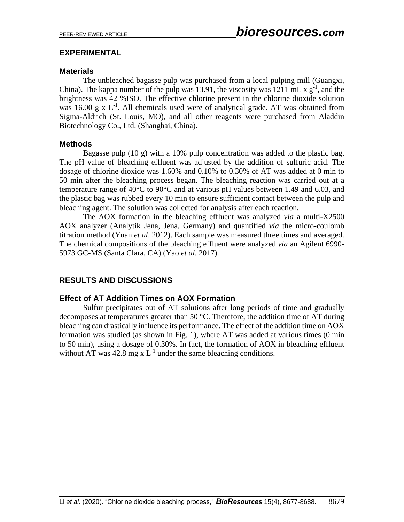## **EXPERIMENTAL**

### **Materials**

The unbleached bagasse pulp was purchased from a local pulping mill (Guangxi, China). The kappa number of the pulp was 13.91, the viscosity was 1211 mL  $x g^{-1}$ , and the brightness was 42 %ISO. The effective chlorine present in the chlorine dioxide solution was 16.00 g x  $L^{-1}$ . All chemicals used were of analytical grade. AT was obtained from Sigma-Aldrich (St. Louis, MO), and all other reagents were purchased from Aladdin Biotechnology Co., Ltd. (Shanghai, China).

## **Methods**

Bagasse pulp (10 g) with a 10% pulp concentration was added to the plastic bag. The pH value of bleaching effluent was adjusted by the addition of sulfuric acid. The dosage of chlorine dioxide was 1.60% and 0.10% to 0.30% of AT was added at 0 min to 50 min after the bleaching process began. The bleaching reaction was carried out at a temperature range of 40°C to 90°C and at various pH values between 1.49 and 6.03, and the plastic bag was rubbed every 10 min to ensure sufficient contact between the pulp and bleaching agent. The solution was collected for analysis after each reaction.

The AOX formation in the bleaching effluent was analyzed *via* a multi-X2500 AOX analyzer (Analytik Jena, Jena, Germany) and quantified *via* the micro-coulomb titration method (Yuan *et al*. 2012). Each sample was measured three times and averaged. The chemical compositions of the bleaching effluent were analyzed *via* an Agilent 6990- 5973 GC-MS (Santa Clara, CA) (Yao *et al*. 2017).

# **RESULTS AND DISCUSSIONS**

## **Effect of AT Addition Times on AOX Formation**

Sulfur precipitates out of AT solutions after long periods of time and gradually decomposes at temperatures greater than 50 °C. Therefore, the addition time of AT during bleaching can drastically influence its performance. The effect of the addition time on AOX formation was studied (as shown in Fig. 1), where AT was added at various times (0 min to 50 min), using a dosage of 0.30%. In fact, the formation of AOX in bleaching effluent without AT was 42.8 mg x  $L^{-1}$  under the same bleaching conditions.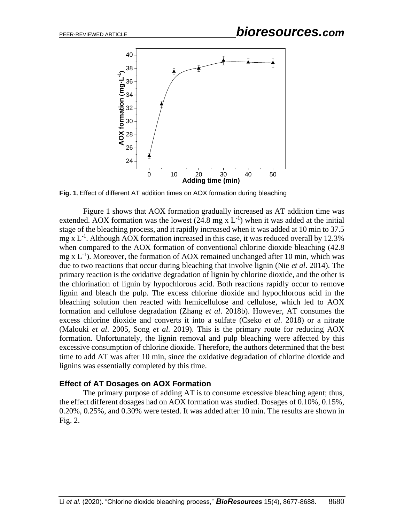# PEER-REVIEWED ARTICLE *bioresources.com*



**Fig. 1.** Effect of different AT addition times on AOX formation during bleaching

Figure 1 shows that AOX formation gradually increased as AT addition time was extended. AOX formation was the lowest  $(24.8 \text{ mg x L}^{-1})$  when it was added at the initial stage of the bleaching process, and it rapidly increased when it was added at 10 min to 37.5 mg x  $L^{-1}$ . Although AOX formation increased in this case, it was reduced overall by 12.3% when compared to the AOX formation of conventional chlorine dioxide bleaching (42.8 mg x  $L^{-1}$ ). Moreover, the formation of AOX remained unchanged after 10 min, which was due to two reactions that occur during bleaching that involve lignin (Nie *et al*. 2014). The primary reaction is the oxidative degradation of lignin by chlorine dioxide, and the other is the chlorination of lignin by hypochlorous acid. Both reactions rapidly occur to remove lignin and bleach the pulp. The excess chlorine dioxide and hypochlorous acid in the bleaching solution then reacted with hemicellulose and cellulose, which led to AOX formation and cellulose degradation (Zhang *et al*. 2018b). However, AT consumes the excess chlorine dioxide and converts it into a sulfate (Cseko *et al*. 2018) or a nitrate (Malouki *et al*. 2005, Song *et al*. 2019). This is the primary route for reducing AOX formation. Unfortunately, the lignin removal and pulp bleaching were affected by this excessive consumption of chlorine dioxide. Therefore, the authors determined that the best time to add AT was after 10 min, since the oxidative degradation of chlorine dioxide and lignins was essentially completed by this time.

#### **Effect of AT Dosages on AOX Formation**

The primary purpose of adding AT is to consume excessive bleaching agent; thus, the effect different dosages had on AOX formation was studied. Dosages of 0.10%, 0.15%, 0.20%, 0.25%, and 0.30% were tested. It was added after 10 min. The results are shown in Fig. 2.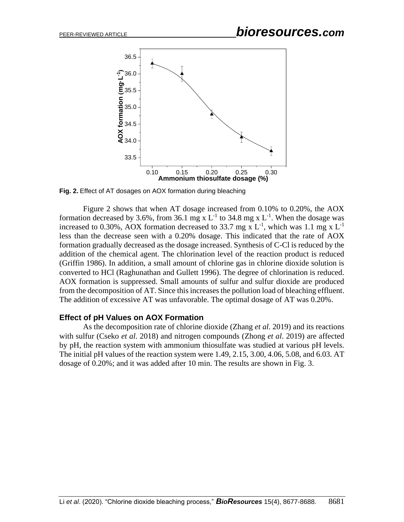

**Fig. 2.** Effect of AT dosages on AOX formation during bleaching

Figure 2 shows that when AT dosage increased from 0.10% to 0.20%, the AOX formation decreased by 3.6%, from 36.1 mg x  $L^{-1}$  to 34.8 mg x  $L^{-1}$ . When the dosage was increased to 0.30%, AOX formation decreased to 33.7 mg x  $L^{-1}$ , which was 1.1 mg x  $L^{-1}$ less than the decrease seen with a 0.20% dosage. This indicated that the rate of AOX formation gradually decreased as the dosage increased. Synthesis of C-Cl is reduced by the addition of the chemical agent. The chlorination level of the reaction product is reduced (Griffin 1986). In addition, a small amount of chlorine gas in chlorine dioxide solution is converted to HCl (Raghunathan and Gullett 1996). The degree of chlorination is reduced. AOX formation is suppressed. Small amounts of sulfur and sulfur dioxide are produced from the decomposition of AT. Since this increases the pollution load of bleaching effluent. The addition of excessive AT was unfavorable. The optimal dosage of AT was 0.20%.

#### **Effect of pH Values on AOX Formation**

As the decomposition rate of chlorine dioxide (Zhang *et al*. 2019) and its reactions with sulfur (Cseko *et al*. 2018) and nitrogen compounds (Zhong *et al*. 2019) are affected by pH, the reaction system with ammonium thiosulfate was studied at various pH levels. The initial pH values of the reaction system were 1.49, 2.15, 3.00, 4.06, 5.08, and 6.03. AT dosage of 0.20%; and it was added after 10 min. The results are shown in Fig. 3.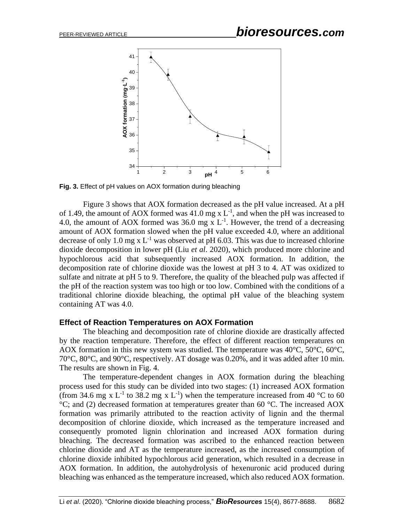

**Fig. 3.** Effect of pH values on AOX formation during bleaching

Figure 3 shows that AOX formation decreased as the pH value increased. At a pH of 1.49, the amount of AOX formed was 41.0 mg x  $L^{-1}$ , and when the pH was increased to 4.0, the amount of AOX formed was 36.0 mg x  $L^{-1}$ . However, the trend of a decreasing amount of AOX formation slowed when the pH value exceeded 4.0, where an additional decrease of only 1.0 mg x  $L^{-1}$  was observed at pH 6.03. This was due to increased chlorine dioxide decomposition in lower pH (Liu *et al*. 2020), which produced more chlorine and hypochlorous acid that subsequently increased AOX formation. In addition, the decomposition rate of chlorine dioxide was the lowest at pH 3 to 4. AT was oxidized to sulfate and nitrate at pH 5 to 9. Therefore, the quality of the bleached pulp was affected if the pH of the reaction system was too high or too low. Combined with the conditions of a traditional chlorine dioxide bleaching, the optimal pH value of the bleaching system containing AT was 4.0.

#### **Effect of Reaction Temperatures on AOX Formation**

The bleaching and decomposition rate of chlorine dioxide are drastically affected by the reaction temperature. Therefore, the effect of different reaction temperatures on AOX formation in this new system was studied. The temperature was 40°C, 50°C, 60°C, 70°C, 80°C, and 90°C, respectively. AT dosage was 0.20%, and it was added after 10 min. The results are shown in Fig. 4.

The temperature-dependent changes in AOX formation during the bleaching process used for this study can be divided into two stages: (1) increased AOX formation (from 34.6 mg x L<sup>-1</sup> to 38.2 mg x L<sup>-1</sup>) when the temperature increased from 40 °C to 60 °C; and (2) decreased formation at temperatures greater than 60 °C. The increased AOX formation was primarily attributed to the reaction activity of lignin and the thermal decomposition of chlorine dioxide, which increased as the temperature increased and consequently promoted lignin chlorination and increased AOX formation during bleaching. The decreased formation was ascribed to the enhanced reaction between chlorine dioxide and AT as the temperature increased, as the increased consumption of chlorine dioxide inhibited hypochlorous acid generation, which resulted in a decrease in AOX formation. In addition, the autohydrolysis of hexenuronic acid produced during bleaching was enhanced as the temperature increased, which also reduced AOX formation.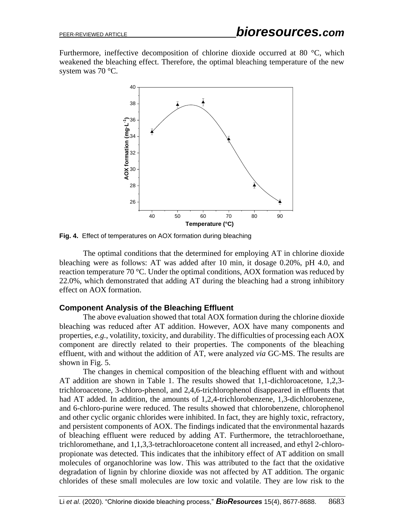Furthermore, ineffective decomposition of chlorine dioxide occurred at 80 °C, which weakened the bleaching effect. Therefore, the optimal bleaching temperature of the new system was 70 °C.



**Fig. 4.** Effect of temperatures on AOX formation during bleaching

The optimal conditions that the determined for employing AT in chlorine dioxide bleaching were as follows: AT was added after 10 min, it dosage 0.20%, pH 4.0, and reaction temperature 70 °C. Under the optimal conditions, AOX formation was reduced by 22.0%, which demonstrated that adding AT during the bleaching had a strong inhibitory effect on AOX formation.

### **Component Analysis of the Bleaching Effluent**

The above evaluation showed that total AOX formation during the chlorine dioxide bleaching was reduced after AT addition. However, AOX have many components and properties, *e.g.*, volatility, toxicity, and durability. The difficulties of processing each AOX component are directly related to their properties. The components of the bleaching effluent, with and without the addition of AT, were analyzed *via* GC-MS. The results are shown in Fig. 5.

The changes in chemical composition of the bleaching effluent with and without AT addition are shown in Table 1. The results showed that 1,1-dichloroacetone, 1,2,3 trichloroacetone, 3-chloro-phenol, and 2,4,6-trichlorophenol disappeared in effluents that had AT added. In addition, the amounts of 1,2,4-trichlorobenzene, 1,3-dichlorobenzene, and 6-chloro-purine were reduced. The results showed that chlorobenzene, chlorophenol and other cyclic organic chlorides were inhibited. In fact, they are highly toxic, refractory, and persistent components of AOX. The findings indicated that the environmental hazards of bleaching effluent were reduced by adding AT. Furthermore, the tetrachloroethane, trichloromethane, and 1,1,3,3-tetrachloroacetone content all increased, and ethyl 2-chloropropionate was detected. This indicates that the inhibitory effect of AT addition on small molecules of organochlorine was low. This was attributed to the fact that the oxidative degradation of lignin by chlorine dioxide was not affected by AT addition. The organic chlorides of these small molecules are low toxic and volatile. They are low risk to the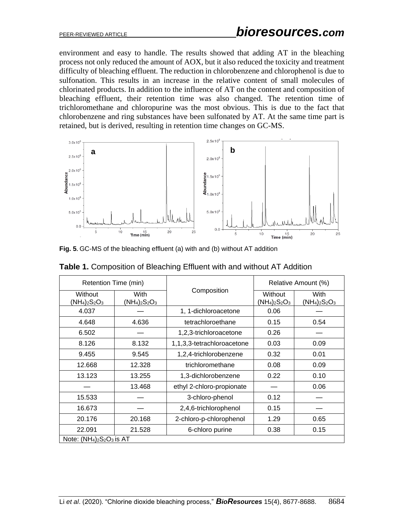environment and easy to handle. The results showed that adding AT in the bleaching process not only reduced the amount of AOX, but it also reduced the toxicity and treatment difficulty of bleaching effluent. The reduction in chlorobenzene and chlorophenol is due to sulfonation. This results in an increase in the relative content of small molecules of chlorinated products. In addition to the influence of AT on the content and composition of bleaching effluent, their retention time was also changed. The retention time of trichloromethane and chloropurine was the most obvious. This is due to the fact that chlorobenzene and ring substances have been sulfonated by AT. At the same time part is retained, but is derived, resulting in retention time changes on GC-MS.



**Fig. 5.** GC-MS of the bleaching effluent (a) with and (b) without AT addition

| Retention Time (min)        |                          |                            | Relative Amount (%)         |                          |
|-----------------------------|--------------------------|----------------------------|-----------------------------|--------------------------|
| Without<br>$(NH_4)_2S_2O_3$ | With<br>$(NH_4)_2S_2O_3$ | Composition                | Without<br>$(NH_4)_2S_2O_3$ | With<br>$(NH_4)_2S_2O_3$ |
| 4.037                       |                          | 1, 1-dichloroacetone       | 0.06                        |                          |
| 4.648                       | 4.636                    | tetrachloroethane          | 0.15                        | 0.54                     |
| 6.502                       |                          | 1,2,3-trichloroacetone     | 0.26                        |                          |
| 8.126                       | 8.132                    | 1,1,3,3-tetrachloroacetone | 0.03                        | 0.09                     |
| 9.455                       | 9.545                    | 1,2,4-trichlorobenzene     | 0.32                        | 0.01                     |
| 12.668                      | 12.328                   | trichloromethane           | 0.08                        | 0.09                     |
| 13.123                      | 13.255                   | 1,3-dichlorobenzene        | 0.22                        | 0.10                     |
|                             | 13.468                   | ethyl 2-chloro-propionate  |                             | 0.06                     |
| 15.533                      |                          | 3-chloro-phenol            | 0.12                        |                          |
| 16.673                      |                          | 2,4,6-trichlorophenol      | 0.15                        |                          |
| 20.176                      | 20.168                   | 2-chloro-p-chlorophenol    | 1.29                        | 0.65                     |
| 22.091                      | 21.528                   | 6-chloro purine            | 0.38                        | 0.15                     |
| Note: $(NH4)2S2O3$ is AT    |                          |                            |                             |                          |

**Table 1.** Composition of Bleaching Effluent with and without AT Addition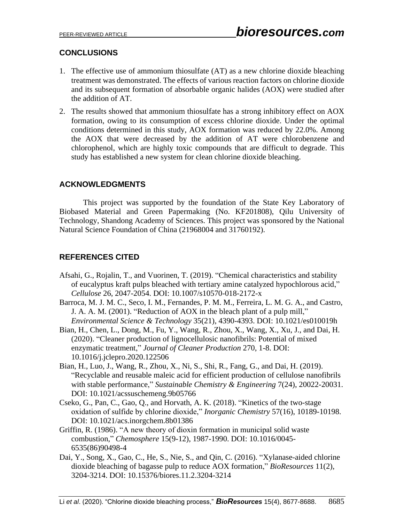# **CONCLUSIONS**

- 1. The effective use of ammonium thiosulfate (AT) as a new chlorine dioxide bleaching treatment was demonstrated. The effects of various reaction factors on chlorine dioxide and its subsequent formation of absorbable organic halides (AOX) were studied after the addition of AT.
- 2. The results showed that ammonium thiosulfate has a strong inhibitory effect on AOX formation, owing to its consumption of excess chlorine dioxide. Under the optimal conditions determined in this study, AOX formation was reduced by 22.0%. Among the AOX that were decreased by the addition of AT were chlorobenzene and chlorophenol, which are highly toxic compounds that are difficult to degrade. This study has established a new system for clean chlorine dioxide bleaching.

## **ACKNOWLEDGMENTS**

This project was supported by the foundation of the State Key Laboratory of Biobased Material and Green Papermaking (No. KF201808), Qilu University of Technology, Shandong Academy of Sciences. This project was sponsored by the National Natural Science Foundation of China (21968004 and 31760192).

# **REFERENCES CITED**

- Afsahi, G., Rojalin, T., and Vuorinen, T. (2019). "Chemical characteristics and stability of eucalyptus kraft pulps bleached with tertiary amine catalyzed hypochlorous acid," *Cellulose* 26, 2047-2054. DOI: 10.1007/s10570-018-2172-x
- Barroca, M. J. M. C., Seco, I. M., Fernandes, P. M. M., Ferreira, L. M. G. A., and Castro, J. A. A. M. (2001). "Reduction of AOX in the bleach plant of a pulp mill," *Environmental Science & Technology* 35(21), 4390-4393. DOI: 10.1021/es010019h
- Bian, H., Chen, L., Dong, M., Fu, Y., Wang, R., Zhou, X., Wang, X., Xu, J., and Dai, H. (2020). "Cleaner production of lignocellulosic nanofibrils: Potential of mixed enzymatic treatment," *Journal of Cleaner Production* 270, 1-8. DOI: 10.1016/j.jclepro.2020.122506
- Bian, H., Luo, J., Wang, R., Zhou, X., Ni, S., Shi, R., Fang, G., and Dai, H. (2019). "Recyclable and reusable maleic acid for efficient production of cellulose nanofibrils with stable performance," *Sustainable Chemistry & Engineering* 7(24), 20022-20031. DOI: 10.1021/acssuschemeng.9b05766
- Cseko, G., Pan, C., Gao, Q., and Horvath, A. K. (2018). "Kinetics of the two-stage oxidation of sulfide by chlorine dioxide," *Inorganic Chemistry* 57(16), 10189-10198. DOI: 10.1021/acs.inorgchem.8b01386
- Griffin, R. (1986). "A new theory of dioxin formation in municipal solid waste combustion," *Chemosphere* 15(9-12), 1987-1990. DOI: 10.1016/0045- 6535(86)90498-4
- Dai, Y., Song, X., Gao, C., He, S., Nie, S., and Qin, C. (2016). "Xylanase-aided chlorine dioxide bleaching of bagasse pulp to reduce AOX formation," *BioResources* 11(2), 3204-3214. DOI: 10.15376/biores.11.2.3204-3214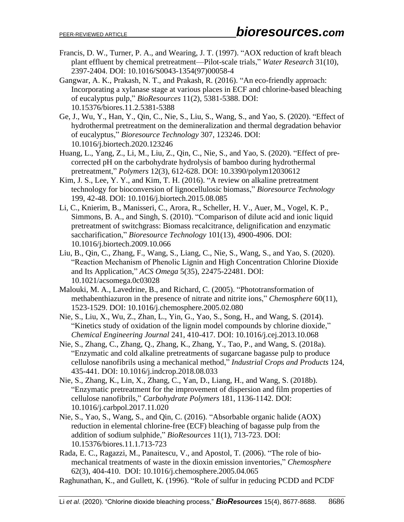- Francis, D. W., Turner, P. A., and Wearing, J. T. (1997). "AOX reduction of kraft bleach plant effluent by chemical pretreatment—Pilot-scale trials," *Water Research* 31(10), 2397-2404. DOI: 10.1016/S0043-1354(97)00058-4
- Gangwar, A. K., Prakash, N. T., and Prakash, R. (2016). "An eco-friendly approach: Incorporating a xylanase stage at various places in ECF and chlorine-based bleaching of eucalyptus pulp," *BioResources* 11(2), 5381-5388. DOI: 10.15376/biores.11.2.5381-5388
- Ge, J., Wu, Y., Han, Y., Qin, C., Nie, S., Liu, S., Wang, S., and Yao, S. (2020). "Effect of hydrothermal pretreatment on the demineralization and thermal degradation behavior of eucalyptus," *Bioresource Technology* 307, 123246. DOI: 10.1016/j.biortech.2020.123246
- Huang, L., Yang, Z., Li, M., Liu, Z., Qin, C., Nie, S., and Yao, S. (2020). "Effect of precorrected pH on the carbohydrate hydrolysis of bamboo during hydrothermal pretreatment," *Polymers* 12(3), 612-628. DOI: 10.3390/polym12030612
- Kim, J. S., Lee, Y. Y., and Kim, T. H. (2016). "A review on alkaline pretreatment technology for bioconversion of lignocellulosic biomass," *Bioresource Technology*  199, 42-48. DOI: 10.1016/j.biortech.2015.08.085
- Li, C., Knierim, B., Manisseri, C., Arora, R., Scheller, H. V., Auer, M., Vogel, K. P., Simmons, B. A., and Singh, S. (2010). "Comparison of dilute acid and ionic liquid pretreatment of switchgrass: Biomass recalcitrance, delignification and enzymatic saccharification," *Bioresource Technology* 101(13), 4900-4906. DOI: 10.1016/j.biortech.2009.10.066
- Liu, B., Qin, C., Zhang, F., Wang, S., Liang, C., Nie, S., Wang, S., and Yao, S. (2020). "Reaction Mechanism of Phenolic Lignin and High Concentration Chlorine Dioxide and Its Application," *ACS Omega* 5(35), 22475-22481. DOI: 10.1021/acsomega.0c03028
- Malouki, M. A., Lavedrine, B., and Richard, C. (2005). "Phototransformation of methabenthiazuron in the presence of nitrate and nitrite ions," *Chemosphere* 60(11), 1523-1529. DOI: 10.1016/j.chemosphere.2005.02.080
- Nie, S., Liu, X., Wu, Z., Zhan, L., Yin, G., Yao, S., Song, H., and Wang, S. (2014). "Kinetics study of oxidation of the lignin model compounds by chlorine dioxide," *Chemical Engineering Journal* 241, 410-417. DOI: 10.1016/j.cej.2013.10.068
- Nie, S., Zhang, C., Zhang, Q., Zhang, K., Zhang, Y., Tao, P., and Wang, S. (2018a). "Enzymatic and cold alkaline pretreatments of sugarcane bagasse pulp to produce cellulose nanofibrils using a mechanical method," *Industrial Crops and Products* 124, 435-441. DOI: 10.1016/j.indcrop.2018.08.033
- Nie, S., Zhang, K., Lin, X., Zhang, C., Yan, D., Liang, H., and Wang, S. (2018b). "Enzymatic pretreatment for the improvement of dispersion and film properties of cellulose nanofibrils," *Carbohydrate Polymers* 181, 1136-1142. DOI: 10.1016/j.carbpol.2017.11.020
- Nie, S., Yao, S., Wang, S., and Qin, C. (2016). "Absorbable organic halide (AOX) reduction in elemental chlorine-free (ECF) bleaching of bagasse pulp from the addition of sodium sulphide," *BioResources* 11(1), 713-723. DOI: 10.15376/biores.11.1.713-723
- Rada, E. C., Ragazzi, M., Panaitescu, V., and Apostol, T. (2006). "The role of biomechanical treatments of waste in the dioxin emission inventories," *Chemosphere* 62(3), 404-410. DOI: 10.1016/j.chemosphere.2005.04.065
- Raghunathan, K., and Gullett, K. (1996). "Role of sulfur in reducing PCDD and PCDF

Li *et al.* (2020). "Chlorine dioxide bleaching process," **BioResources** 15(4), 8677-8688. 8686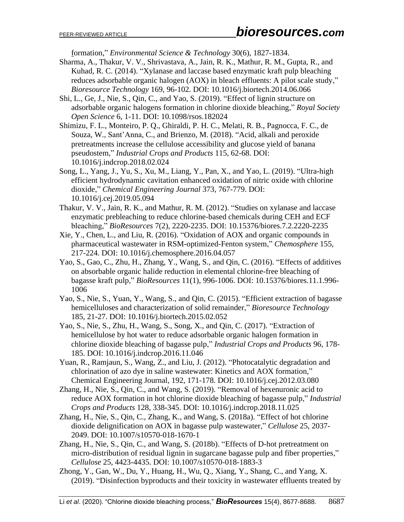formation," *Environmental Science & Technology* 30(6), 1827-1834.

- Sharma, A., Thakur, V. V., Shrivastava, A., Jain, R. K., Mathur, R. M., Gupta, R., and Kuhad, R. C. (2014). "Xylanase and laccase based enzymatic kraft pulp bleaching reduces adsorbable organic halogen (AOX) in bleach effluents: A pilot scale study," *Bioresource Technology* 169, 96-102. DOI: 10.1016/j.biortech.2014.06.066
- Shi, L., Ge, J., Nie, S., Qin, C., and Yao, S. (2019). "Effect of lignin structure on adsorbable organic halogens formation in chlorine dioxide bleaching," *Royal Society Open Science* 6, 1-11. DOI: 10.1098/rsos.182024
- Shimizu, F. L., Monteiro, P. Q., Ghiraldi, P. H. C., Melati, R. B., Pagnocca, F. C., de Souza, W., Sant'Anna, C., and Brienzo, M. (2018). "Acid, alkali and peroxide pretreatments increase the cellulose accessibility and glucose yield of banana pseudostem," *Industrial Crops and Products* 115, 62-68. DOI: 10.1016/j.indcrop.2018.02.024
- Song, L., Yang, J., Yu, S., Xu, M., Liang, Y., Pan, X., and Yao, L. (2019). "Ultra-high efficient hydrodynamic cavitation enhanced oxidation of nitric oxide with chlorine dioxide," *Chemical Engineering Journal* 373, 767-779. DOI: 10.1016/j.cej.2019.05.094
- Thakur, V. V., Jain, R. K., and Mathur, R. M. (2012). "Studies on xylanase and laccase enzymatic prebleaching to reduce chlorine-based chemicals during CEH and ECF bleaching," *BioResources* 7(2), 2220-2235. DOI: 10.15376/biores.7.2.2220-2235
- Xie, Y., Chen, L., and Liu, R. (2016). "Oxidation of AOX and organic compounds in pharmaceutical wastewater in RSM-optimized-Fenton system," *Chemosphere* 155, 217-224. DOI: 10.1016/j.chemosphere.2016.04.057
- Yao, S., Gao, C., Zhu, H., Zhang, Y., Wang, S., and Qin, C. (2016). "Effects of additives on absorbable organic halide reduction in elemental chlorine-free bleaching of bagasse kraft pulp," *BioResources* 11(1), 996-1006. DOI: 10.15376/biores.11.1.996- 1006
- Yao, S., Nie, S., Yuan, Y., Wang, S., and Qin, C. (2015). "Efficient extraction of bagasse hemicelluloses and characterization of solid remainder," *Bioresource Technology*  185, 21-27. DOI: 10.1016/j.biortech.2015.02.052
- Yao, S., Nie, S., Zhu, H., Wang, S., Song, X., and Qin, C. (2017). "Extraction of hemicellulose by hot water to reduce adsorbable organic halogen formation in chlorine dioxide bleaching of bagasse pulp," *Industrial Crops and Products* 96, 178- 185. DOI: 10.1016/j.indcrop.2016.11.046
- Yuan, R., Ramjaun, S., Wang, Z., and Liu, J. (2012). "Photocatalytic degradation and chlorination of azo dye in saline wastewater: Kinetics and AOX formation," Chemical Engineering Journal, 192, 171-178. DOI: 10.1016/j.cej.2012.03.080
- Zhang, H., Nie, S., Qin, C., and Wang, S. (2019). "Removal of hexenuronic acid to reduce AOX formation in hot chlorine dioxide bleaching of bagasse pulp," *Industrial Crops and Products* 128, 338-345. DOI: 10.1016/j.indcrop.2018.11.025
- Zhang, H., Nie, S., Qin, C., Zhang, K., and Wang, S. (2018a). "Effect of hot chlorine dioxide delignification on AOX in bagasse pulp wastewater," *Cellulose* 25, 2037- 2049. DOI: 10.1007/s10570-018-1670-1
- Zhang, H., Nie, S., Qin, C., and Wang, S. (2018b). "Effects of D-hot pretreatment on micro-distribution of residual lignin in sugarcane bagasse pulp and fiber properties," *Cellulose* 25, 4423-4435. DOI: 10.1007/s10570-018-1883-3
- Zhong, Y., Gan, W., Du, Y., Huang, H., Wu, Q., Xiang, Y., Shang, C., and Yang, X. (2019). "Disinfection byproducts and their toxicity in wastewater effluents treated by

Li *et al*. (2020). "Chlorine dioxide bleaching process," *BioResources* 15(4), 8677-8688. 8687